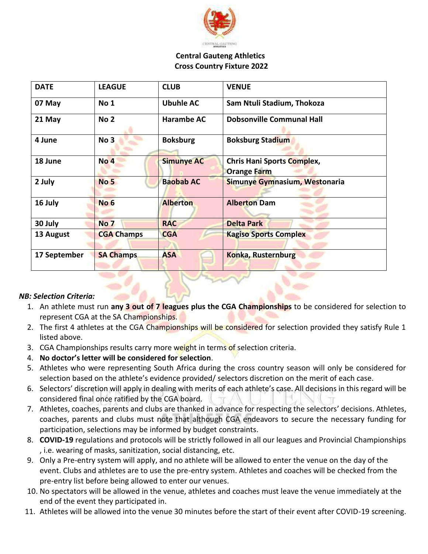

#### **Central Gauteng Athletics Cross Country Fixture 2022**

| <b>DATE</b>  | <b>LEAGUE</b>     | <b>CLUB</b>       | <b>VENUE</b>                                            |
|--------------|-------------------|-------------------|---------------------------------------------------------|
| 07 May       | No 1              | <b>Ubuhle AC</b>  | Sam Ntuli Stadium, Thokoza                              |
| 21 May       | No <sub>2</sub>   | <b>Harambe AC</b> | <b>Dobsonville Communal Hall</b>                        |
| 4 June       | No <sub>3</sub>   | <b>Boksburg</b>   | <b>Boksburg Stadium</b>                                 |
| 18 June      | <b>No 4</b>       | <b>Simunye AC</b> | <b>Chris Hani Sports Complex,</b><br><b>Orange Farm</b> |
| 2 July       | <b>No 5</b>       | <b>Baobab AC</b>  | Simunye Gymnasium, Westonaria                           |
| 16 July      | No <sub>6</sub>   | <b>Alberton</b>   | <b>Alberton Dam</b>                                     |
| 30 July      | <b>No 7</b>       | <b>RAC</b>        | <b>Delta Park</b>                                       |
| 13 August    | <b>CGA Champs</b> | <b>CGA</b>        | <b>Kagiso Sports Complex</b>                            |
| 17 September | <b>SA Champs</b>  | <b>ASA</b>        | <b>Konka, Rusternburg</b>                               |

## *NB: Selection Criteria:*

- 1. An athlete must run **any 3 out of 7 leagues plus the CGA Championships** to be considered for selection to represent CGA at the SA Championships.
- 2. The first 4 athletes at the CGA Championships will be considered for selection provided they satisfy Rule 1 listed above.
- 3. CGA Championships results carry more weight in terms of selection criteria.
- 4. **No doctor's letter will be considered for selection**.
- 5. Athletes who were representing South Africa during the cross country season will only be considered for selection based on the athlete's evidence provided/ selectors discretion on the merit of each case.
- 6. Selectors' discretion will apply in dealing with merits of each athlete's case. All decisions in this regard will be considered final once ratified by the CGA board.
- 7. Athletes, coaches, parents and clubs are thanked in advance for respecting the selectors' decisions. Athletes, coaches, parents and clubs must note that although CGA endeavors to secure the necessary funding for participation, selections may be informed by budget constraints.
- 8. **COVID-19** regulations and protocols will be strictly followed in all our leagues and Provincial Championships , i.e. wearing of masks, sanitization, social distancing, etc.
- 9. Only a Pre-entry system will apply, and no athlete will be allowed to enter the venue on the day of the event. Clubs and athletes are to use the pre-entry system. Athletes and coaches will be checked from the pre-entry list before being allowed to enter our venues.
- 10. No spectators will be allowed in the venue, athletes and coaches must leave the venue immediately at the end of the event they participated in.
- 11. Athletes will be allowed into the venue 30 minutes before the start of their event after COVID-19 screening.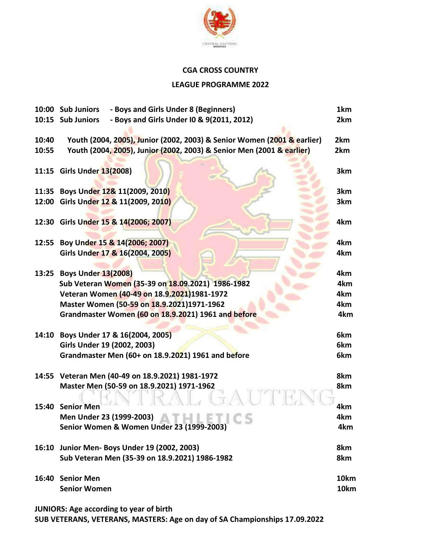

## **CGA CROSS COUNTRY**

#### **LEAGUE PROGRAMME 2022**

|       | 10:00 Sub Juniors<br>- Boys and Girls Under 8 (Beginners)               | 1km  |
|-------|-------------------------------------------------------------------------|------|
|       | 10:15 Sub Juniors<br>- Boys and Girls Under IO & 9(2011, 2012)          | 2km  |
|       |                                                                         |      |
| 10:40 | Youth (2004, 2005), Junior (2002, 2003) & Senior Women (2001 & earlier) | 2km  |
| 10:55 | Youth (2004, 2005), Junior (2002, 2003) & Senior Men (2001 & earlier)   | 2km  |
|       |                                                                         |      |
|       | 11:15 Girls Under 13(2008)                                              | 3km  |
|       |                                                                         |      |
|       | 11:35 Boys Under 12& 11(2009, 2010)                                     | 3km  |
|       | 12:00 Girls Under 12 & 11(2009, 2010)                                   | 3km  |
|       |                                                                         |      |
|       | 12:30 Girls Under 15 & 14(2006; 2007)                                   | 4km  |
|       |                                                                         |      |
|       | 12:55 Boy Under 15 & 14(2006; 2007)                                     | 4km  |
|       | Girls Under 17 & 16(2004, 2005)                                         | 4km  |
|       |                                                                         |      |
|       | 13:25 Boys Under 13(2008)                                               | 4km  |
|       | Sub Veteran Women (35-39 on 18.09.2021) 1986-1982                       | 4km  |
|       | Veteran Women (40-49 on 18.9.2021)1981-1972                             | 4km  |
|       | Master Women (50-59 on 18.9.2021)1971-1962                              | 4km  |
|       | Grandmaster Women (60 on 18.9.2021) 1961 and before                     | 4km  |
|       |                                                                         |      |
| 14:10 | Boys Under 17 & 16(2004, 2005)                                          | 6km  |
|       | Girls Under 19 (2002, 2003)                                             | 6km  |
|       | Grandmaster Men (60+ on 18.9.2021) 1961 and before                      | 6km  |
|       |                                                                         |      |
|       | 14:55 Veteran Men (40-49 on 18.9.2021) 1981-1972                        | 8km  |
|       | Master Men (50-59 on 18.9.2021) 1971-1962                               | 8km  |
|       |                                                                         |      |
| 15:40 | <b>Senior Men</b>                                                       | 4km  |
|       | Men Under 23 (1999-2003)                                                | 4km  |
|       | $\sim$<br>Senior Women & Women Under 23 (1999-2003)                     | 4km  |
|       |                                                                         |      |
|       | 16:10 Junior Men- Boys Under 19 (2002, 2003)                            | 8km  |
|       | Sub Veteran Men (35-39 on 18.9.2021) 1986-1982                          | 8km  |
|       |                                                                         |      |
|       | 16:40 Senior Men                                                        | 10km |
|       | <b>Senior Women</b>                                                     | 10km |
|       |                                                                         |      |

**JUNIORS: Age according to year of birth**

**SUB VETERANS, VETERANS, MASTERS: Age on day of SA Championships 17.09.2022**